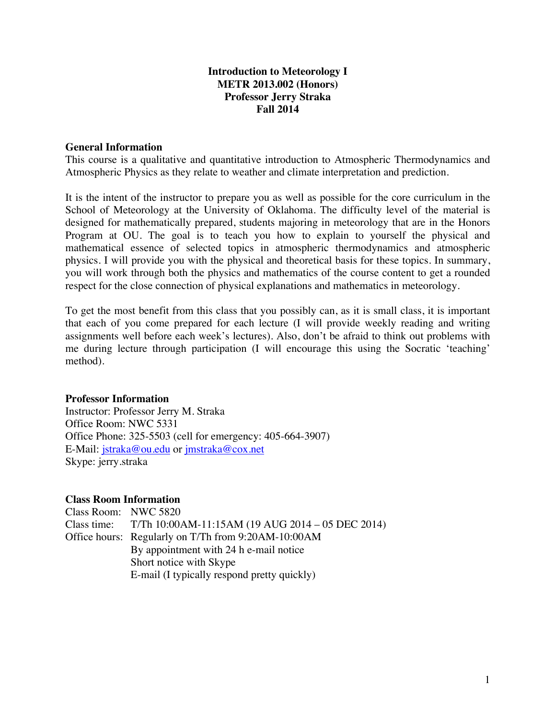# **Introduction to Meteorology I METR 2013.002 (Honors) Professor Jerry Straka Fall 2014**

# **General Information**

This course is a qualitative and quantitative introduction to Atmospheric Thermodynamics and Atmospheric Physics as they relate to weather and climate interpretation and prediction.

It is the intent of the instructor to prepare you as well as possible for the core curriculum in the School of Meteorology at the University of Oklahoma. The difficulty level of the material is designed for mathematically prepared, students majoring in meteorology that are in the Honors Program at OU. The goal is to teach you how to explain to yourself the physical and mathematical essence of selected topics in atmospheric thermodynamics and atmospheric physics. I will provide you with the physical and theoretical basis for these topics. In summary, you will work through both the physics and mathematics of the course content to get a rounded respect for the close connection of physical explanations and mathematics in meteorology.

To get the most benefit from this class that you possibly can, as it is small class, it is important that each of you come prepared for each lecture (I will provide weekly reading and writing assignments well before each week's lectures). Also, don't be afraid to think out problems with me during lecture through participation (I will encourage this using the Socratic 'teaching' method).

# **Professor Information**

Instructor: Professor Jerry M. Straka Office Room: NWC 5331 Office Phone: 325-5503 (cell for emergency: 405-664-3907) E-Mail: jstraka@ou.edu or jmstraka@cox.net Skype: jerry.straka

# **Class Room Information**

Class Room: NWC 5820 Class time: T/Th 10:00AM-11:15AM (19 AUG 2014 – 05 DEC 2014) Office hours: Regularly on T/Th from 9:20AM-10:00AM By appointment with 24 h e-mail notice Short notice with Skype E-mail (I typically respond pretty quickly)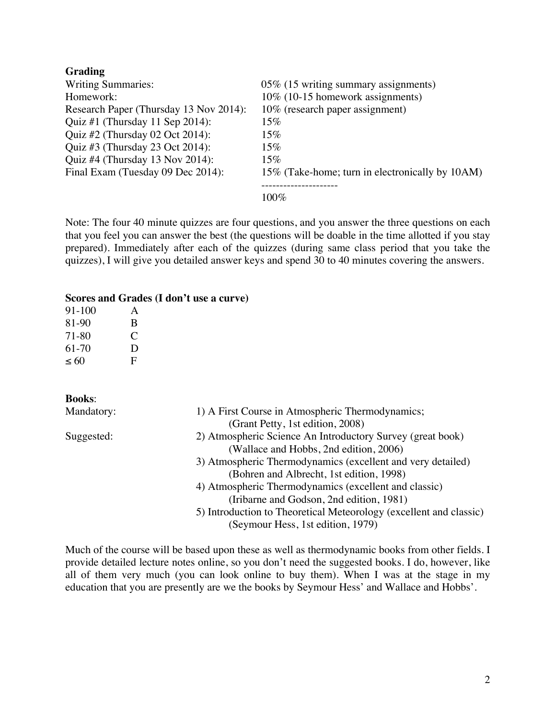# **Grading**

| <b>Writing Summaries:</b>              | 05% (15 writing summary assignments)            |
|----------------------------------------|-------------------------------------------------|
| Homework:                              | 10% (10-15 homework assignments)                |
| Research Paper (Thursday 13 Nov 2014): | 10% (research paper assignment)                 |
| Quiz #1 (Thursday 11 Sep 2014):        | $15\%$                                          |
| Quiz #2 (Thursday 02 Oct 2014):        | $15\%$                                          |
| Quiz #3 (Thursday 23 Oct 2014):        | $15\%$                                          |
| Quiz #4 (Thursday 13 Nov 2014):        | $15\%$                                          |
| Final Exam (Tuesday 09 Dec 2014):      | 15% (Take-home; turn in electronically by 10AM) |
|                                        | $100\%$                                         |

Note: The four 40 minute quizzes are four questions, and you answer the three questions on each that you feel you can answer the best (the questions will be doable in the time allotted if you stay prepared). Immediately after each of the quizzes (during same class period that you take the quizzes), I will give you detailed answer keys and spend 30 to 40 minutes covering the answers.

#### **Scores and Grades (I don't use a curve)**

| 91-100 | A |
|--------|---|
| 81-90  | B |
| 71-80  | C |
| 61-70  | D |
| ~< 60  | F |

**Books**:

| Mandatory: | 1) A First Course in Atmospheric Thermodynamics;                   |
|------------|--------------------------------------------------------------------|
|            | (Grant Petty, 1st edition, 2008)                                   |
| Suggested: | 2) Atmospheric Science An Introductory Survey (great book)         |
|            | (Wallace and Hobbs, 2nd edition, 2006)                             |
|            | 3) Atmospheric Thermodynamics (excellent and very detailed)        |
|            | (Bohren and Albrecht, 1st edition, 1998)                           |
|            | 4) Atmospheric Thermodynamics (excellent and classic)              |
|            | (Iribarne and Godson, 2nd edition, 1981)                           |
|            | 5) Introduction to Theoretical Meteorology (excellent and classic) |
|            | (Seymour Hess, 1st edition, 1979)                                  |

Much of the course will be based upon these as well as thermodynamic books from other fields. I provide detailed lecture notes online, so you don't need the suggested books. I do, however, like all of them very much (you can look online to buy them). When I was at the stage in my education that you are presently are we the books by Seymour Hess' and Wallace and Hobbs'.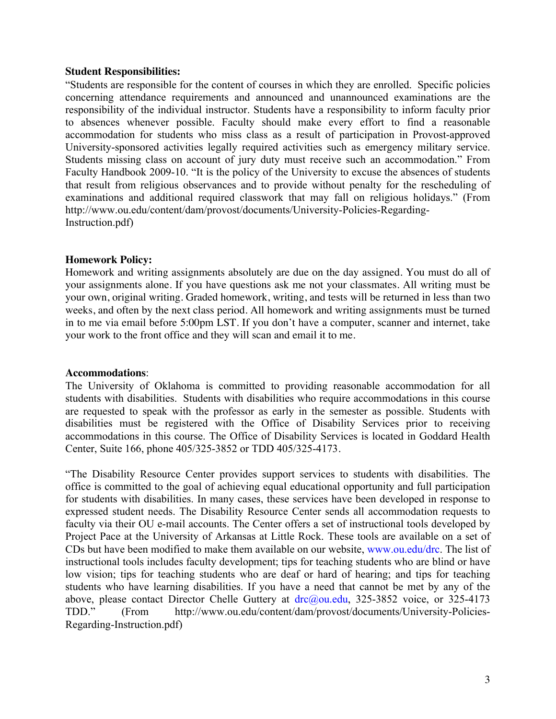#### **Student Responsibilities:**

"Students are responsible for the content of courses in which they are enrolled. Specific policies concerning attendance requirements and announced and unannounced examinations are the responsibility of the individual instructor. Students have a responsibility to inform faculty prior to absences whenever possible. Faculty should make every effort to find a reasonable accommodation for students who miss class as a result of participation in Provost-approved University-sponsored activities legally required activities such as emergency military service. Students missing class on account of jury duty must receive such an accommodation." From Faculty Handbook 2009-10. "It is the policy of the University to excuse the absences of students that result from religious observances and to provide without penalty for the rescheduling of examinations and additional required classwork that may fall on religious holidays." (From http://www.ou.edu/content/dam/provost/documents/University-Policies-Regarding-Instruction.pdf)

# **Homework Policy:**

Homework and writing assignments absolutely are due on the day assigned. You must do all of your assignments alone. If you have questions ask me not your classmates. All writing must be your own, original writing. Graded homework, writing, and tests will be returned in less than two weeks, and often by the next class period. All homework and writing assignments must be turned in to me via email before 5:00pm LST. If you don't have a computer, scanner and internet, take your work to the front office and they will scan and email it to me.

# **Accommodations**:

The University of Oklahoma is committed to providing reasonable accommodation for all students with disabilities. Students with disabilities who require accommodations in this course are requested to speak with the professor as early in the semester as possible. Students with disabilities must be registered with the Office of Disability Services prior to receiving accommodations in this course. The Office of Disability Services is located in Goddard Health Center, Suite 166, phone 405/325-3852 or TDD 405/325-4173.

"The Disability Resource Center provides support services to students with disabilities. The office is committed to the goal of achieving equal educational opportunity and full participation for students with disabilities. In many cases, these services have been developed in response to expressed student needs. The Disability Resource Center sends all accommodation requests to faculty via their OU e-mail accounts. The Center offers a set of instructional tools developed by Project Pace at the University of Arkansas at Little Rock. These tools are available on a set of CDs but have been modified to make them available on our website, www.ou.edu/drc. The list of instructional tools includes faculty development; tips for teaching students who are blind or have low vision; tips for teaching students who are deaf or hard of hearing; and tips for teaching students who have learning disabilities. If you have a need that cannot be met by any of the above, please contact Director Chelle Guttery at drc@ou.edu, 325-3852 voice, or 325-4173 TDD." (From http://www.ou.edu/content/dam/provost/documents/University-Policies-Regarding-Instruction.pdf)